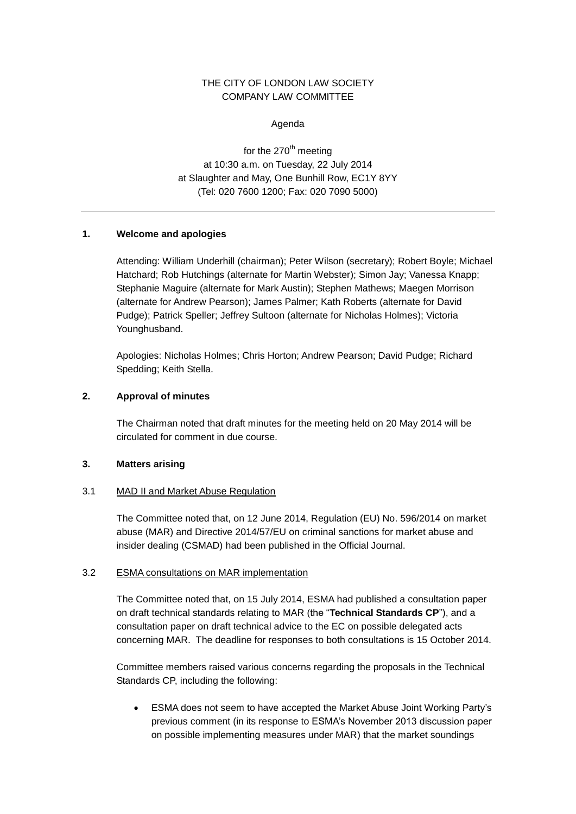# THE CITY OF LONDON LAW SOCIETY COMPANY LAW COMMITTEE

Agenda

for the  $270<sup>th</sup>$  meeting at 10:30 a.m. on Tuesday, 22 July 2014 at Slaughter and May, One Bunhill Row, EC1Y 8YY (Tel: 020 7600 1200; Fax: 020 7090 5000)

## **1. Welcome and apologies**

Attending: William Underhill (chairman); Peter Wilson (secretary); Robert Boyle; Michael Hatchard; Rob Hutchings (alternate for Martin Webster); Simon Jay; Vanessa Knapp; Stephanie Maguire (alternate for Mark Austin); Stephen Mathews; Maegen Morrison (alternate for Andrew Pearson); James Palmer; Kath Roberts (alternate for David Pudge); Patrick Speller; Jeffrey Sultoon (alternate for Nicholas Holmes); Victoria Younghusband.

Apologies: Nicholas Holmes; Chris Horton; Andrew Pearson; David Pudge; Richard Spedding; Keith Stella.

## **2. Approval of minutes**

The Chairman noted that draft minutes for the meeting held on 20 May 2014 will be circulated for comment in due course.

### **3. Matters arising**

### 3.1 MAD II and Market Abuse Regulation

The Committee noted that, on 12 June 2014, Regulation (EU) No. 596/2014 on market abuse (MAR) and Directive 2014/57/EU on criminal sanctions for market abuse and insider dealing (CSMAD) had been published in the Official Journal.

### 3.2 ESMA consultations on MAR implementation

The Committee noted that, on 15 July 2014, ESMA had published a consultation paper on draft technical standards relating to MAR (the "**Technical Standards CP**"), and a consultation paper on draft technical advice to the EC on possible delegated acts concerning MAR. The deadline for responses to both consultations is 15 October 2014.

Committee members raised various concerns regarding the proposals in the Technical Standards CP, including the following:

 ESMA does not seem to have accepted the Market Abuse Joint Working Party's previous comment (in its response to ESMA's November 2013 discussion paper on possible implementing measures under MAR) that the market soundings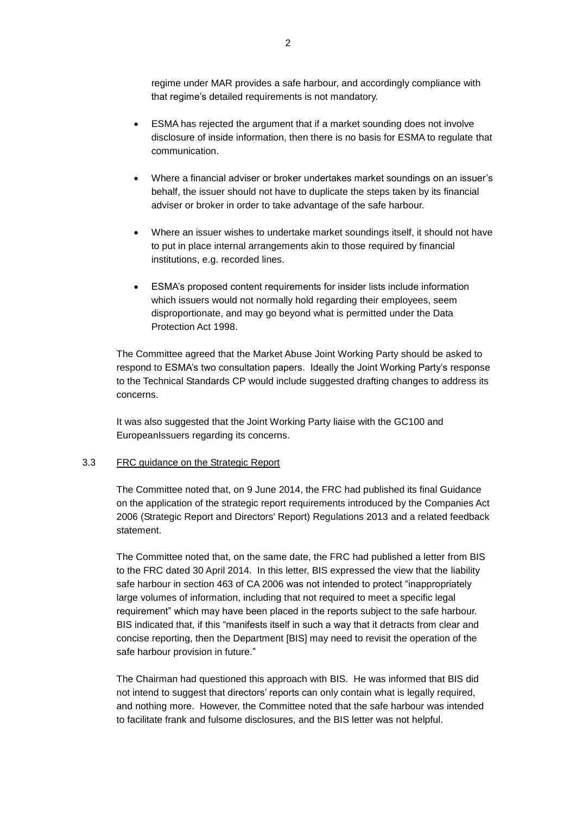regime under MAR provides a safe harbour, and accordingly compliance with that regime's detailed requirements is not mandatory.

- ESMA has rejected the argument that if a market sounding does not involve disclosure of inside information, then there is no basis for ESMA to regulate that communication.
- Where a financial adviser or broker undertakes market soundings on an issuer's behalf, the issuer should not have to duplicate the steps taken by its financial adviser or broker in order to take advantage of the safe harbour.
- Where an issuer wishes to undertake market soundings itself, it should not have to put in place internal arrangements akin to those required by financial institutions, e.g. recorded lines.
- ESMA's proposed content requirements for insider lists include information which issuers would not normally hold regarding their employees, seem disproportionate, and may go beyond what is permitted under the Data Protection Act 1998.

The Committee agreed that the Market Abuse Joint Working Party should be asked to respond to ESMA's two consultation papers. Ideally the Joint Working Party's response to the Technical Standards CP would include suggested drafting changes to address its concerns.

It was also suggested that the Joint Working Party liaise with the GC100 and EuropeanIssuers regarding its concerns.

## 3.3 FRC guidance on the Strategic Report

The Committee noted that, on 9 June 2014, the FRC had published its final Guidance on the application of the strategic report requirements introduced by the Companies Act 2006 (Strategic Report and Directors' Report) Regulations 2013 and a related feedback statement.

The Committee noted that, on the same date, the FRC had published a letter from BIS to the FRC dated 30 April 2014. In this letter, BIS expressed the view that the liability safe harbour in section 463 of CA 2006 was not intended to protect "inappropriately large volumes of information, including that not required to meet a specific legal requirement" which may have been placed in the reports subject to the safe harbour. BIS indicated that, if this "manifests itself in such a way that it detracts from clear and concise reporting, then the Department [BIS] may need to revisit the operation of the safe harbour provision in future."

The Chairman had questioned this approach with BIS. He was informed that BIS did not intend to suggest that directors' reports can only contain what is legally required, and nothing more. However, the Committee noted that the safe harbour was intended to facilitate frank and fulsome disclosures, and the BIS letter was not helpful.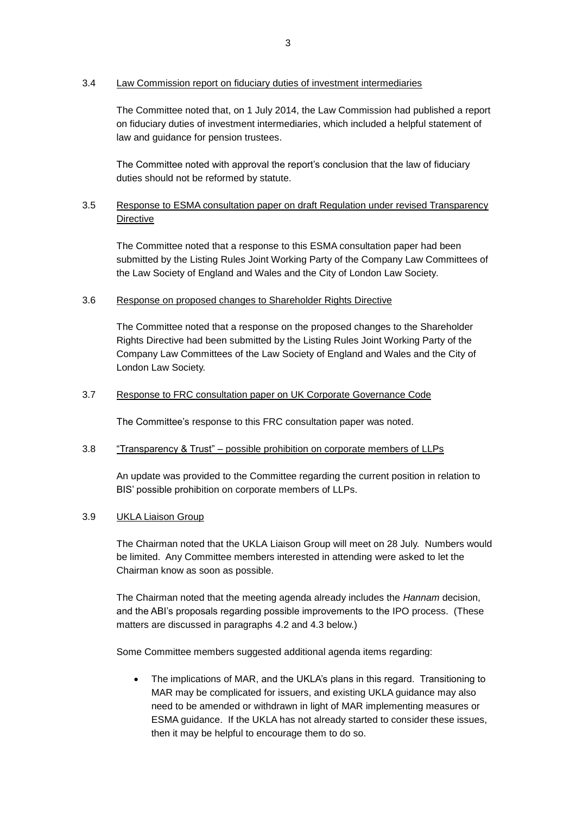# 3.4 Law Commission report on fiduciary duties of investment intermediaries

The Committee noted that, on 1 July 2014, the Law Commission had published a report on fiduciary duties of investment intermediaries, which included a helpful statement of law and guidance for pension trustees.

The Committee noted with approval the report's conclusion that the law of fiduciary duties should not be reformed by statute.

# 3.5 Response to ESMA consultation paper on draft Regulation under revised Transparency Directive

The Committee noted that a response to this ESMA consultation paper had been submitted by the Listing Rules Joint Working Party of the Company Law Committees of the Law Society of England and Wales and the City of London Law Society.

# 3.6 Response on proposed changes to Shareholder Rights Directive

The Committee noted that a response on the proposed changes to the Shareholder Rights Directive had been submitted by the Listing Rules Joint Working Party of the Company Law Committees of the Law Society of England and Wales and the City of London Law Society.

# 3.7 Response to FRC consultation paper on UK Corporate Governance Code

The Committee's response to this FRC consultation paper was noted.

# 3.8 "Transparency & Trust" – possible prohibition on corporate members of LLPs

An update was provided to the Committee regarding the current position in relation to BIS' possible prohibition on corporate members of LLPs.

# 3.9 UKLA Liaison Group

The Chairman noted that the UKLA Liaison Group will meet on 28 July. Numbers would be limited. Any Committee members interested in attending were asked to let the Chairman know as soon as possible.

The Chairman noted that the meeting agenda already includes the *Hannam* decision, and the ABI's proposals regarding possible improvements to the IPO process. (These matters are discussed in paragraphs [4.2](#page-3-0) and [4.3](#page-4-0) below.)

Some Committee members suggested additional agenda items regarding:

• The implications of MAR, and the UKLA's plans in this regard. Transitioning to MAR may be complicated for issuers, and existing UKLA guidance may also need to be amended or withdrawn in light of MAR implementing measures or ESMA guidance. If the UKLA has not already started to consider these issues, then it may be helpful to encourage them to do so.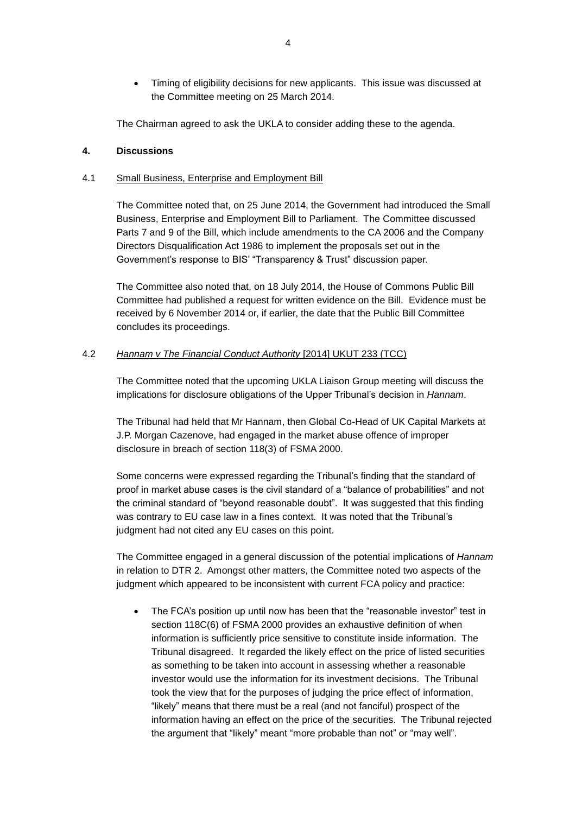Timing of eligibility decisions for new applicants. This issue was discussed at the Committee meeting on 25 March 2014.

The Chairman agreed to ask the UKLA to consider adding these to the agenda.

## **4. Discussions**

## 4.1 Small Business, Enterprise and Employment Bill

The Committee noted that, on 25 June 2014, the Government had introduced the Small Business, Enterprise and Employment Bill to Parliament. The Committee discussed Parts 7 and 9 of the Bill, which include amendments to the CA 2006 and the Company Directors Disqualification Act 1986 to implement the proposals set out in the Government's response to BIS' "Transparency & Trust" discussion paper.

The Committee also noted that, on 18 July 2014, the House of Commons Public Bill Committee had published a request for written evidence on the Bill. Evidence must be received by 6 November 2014 or, if earlier, the date that the Public Bill Committee concludes its proceedings.

# <span id="page-3-0"></span>4.2 *Hannam v The Financial Conduct Authority* [2014] UKUT 233 (TCC)

The Committee noted that the upcoming UKLA Liaison Group meeting will discuss the implications for disclosure obligations of the Upper Tribunal's decision in *Hannam*.

The Tribunal had held that Mr Hannam, then Global Co-Head of UK Capital Markets at J.P. Morgan Cazenove, had engaged in the market abuse offence of improper disclosure in breach of section 118(3) of FSMA 2000.

Some concerns were expressed regarding the Tribunal's finding that the standard of proof in market abuse cases is the civil standard of a "balance of probabilities" and not the criminal standard of "beyond reasonable doubt". It was suggested that this finding was contrary to EU case law in a fines context. It was noted that the Tribunal's judgment had not cited any EU cases on this point.

The Committee engaged in a general discussion of the potential implications of *Hannam* in relation to DTR 2. Amongst other matters, the Committee noted two aspects of the judgment which appeared to be inconsistent with current FCA policy and practice:

• The FCA's position up until now has been that the "reasonable investor" test in section 118C(6) of FSMA 2000 provides an exhaustive definition of when information is sufficiently price sensitive to constitute inside information. The Tribunal disagreed. It regarded the likely effect on the price of listed securities as something to be taken into account in assessing whether a reasonable investor would use the information for its investment decisions. The Tribunal took the view that for the purposes of judging the price effect of information, "likely" means that there must be a real (and not fanciful) prospect of the information having an effect on the price of the securities. The Tribunal rejected the argument that "likely" meant "more probable than not" or "may well".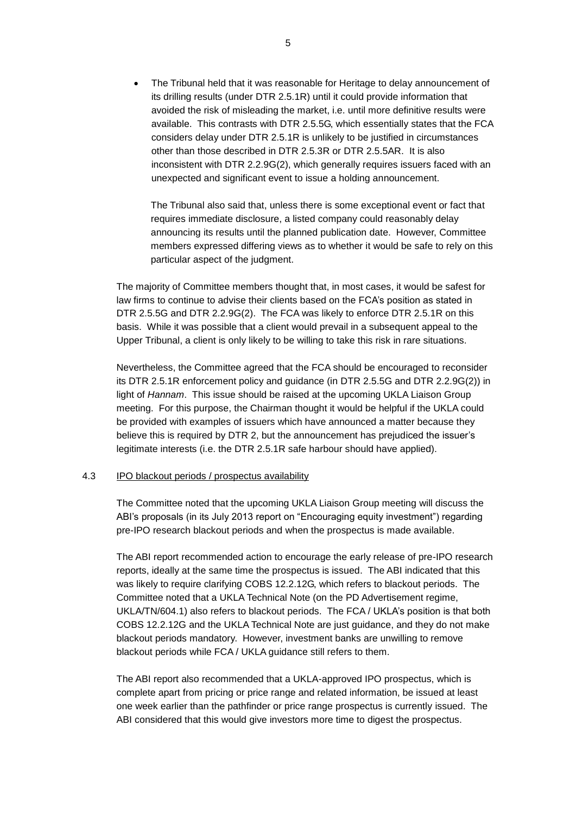The Tribunal held that it was reasonable for Heritage to delay announcement of its drilling results (under DTR 2.5.1R) until it could provide information that avoided the risk of misleading the market, i.e. until more definitive results were available. This contrasts with DTR 2.5.5G, which essentially states that the FCA considers delay under DTR 2.5.1R is unlikely to be justified in circumstances other than those described in DTR 2.5.3R or DTR 2.5.5AR. It is also inconsistent with DTR 2.2.9G(2), which generally requires issuers faced with an unexpected and significant event to issue a holding announcement.

The Tribunal also said that, unless there is some exceptional event or fact that requires immediate disclosure, a listed company could reasonably delay announcing its results until the planned publication date. However, Committee members expressed differing views as to whether it would be safe to rely on this particular aspect of the judgment.

The majority of Committee members thought that, in most cases, it would be safest for law firms to continue to advise their clients based on the FCA's position as stated in DTR 2.5.5G and DTR 2.2.9G(2). The FCA was likely to enforce DTR 2.5.1R on this basis. While it was possible that a client would prevail in a subsequent appeal to the Upper Tribunal, a client is only likely to be willing to take this risk in rare situations.

Nevertheless, the Committee agreed that the FCA should be encouraged to reconsider its DTR 2.5.1R enforcement policy and guidance (in DTR 2.5.5G and DTR 2.2.9G(2)) in light of *Hannam*. This issue should be raised at the upcoming UKLA Liaison Group meeting. For this purpose, the Chairman thought it would be helpful if the UKLA could be provided with examples of issuers which have announced a matter because they believe this is required by DTR 2, but the announcement has prejudiced the issuer's legitimate interests (i.e. the DTR 2.5.1R safe harbour should have applied).

#### <span id="page-4-0"></span>4.3 IPO blackout periods / prospectus availability

The Committee noted that the upcoming UKLA Liaison Group meeting will discuss the ABI's proposals (in its July 2013 report on "Encouraging equity investment") regarding pre-IPO research blackout periods and when the prospectus is made available.

The ABI report recommended action to encourage the early release of pre-IPO research reports, ideally at the same time the prospectus is issued. The ABI indicated that this was likely to require clarifying COBS 12.2.12G, which refers to blackout periods. The Committee noted that a UKLA Technical Note (on the PD Advertisement regime, UKLA/TN/604.1) also refers to blackout periods. The FCA / UKLA's position is that both COBS 12.2.12G and the UKLA Technical Note are just guidance, and they do not make blackout periods mandatory. However, investment banks are unwilling to remove blackout periods while FCA / UKLA guidance still refers to them.

The ABI report also recommended that a UKLA-approved IPO prospectus, which is complete apart from pricing or price range and related information, be issued at least one week earlier than the pathfinder or price range prospectus is currently issued. The ABI considered that this would give investors more time to digest the prospectus.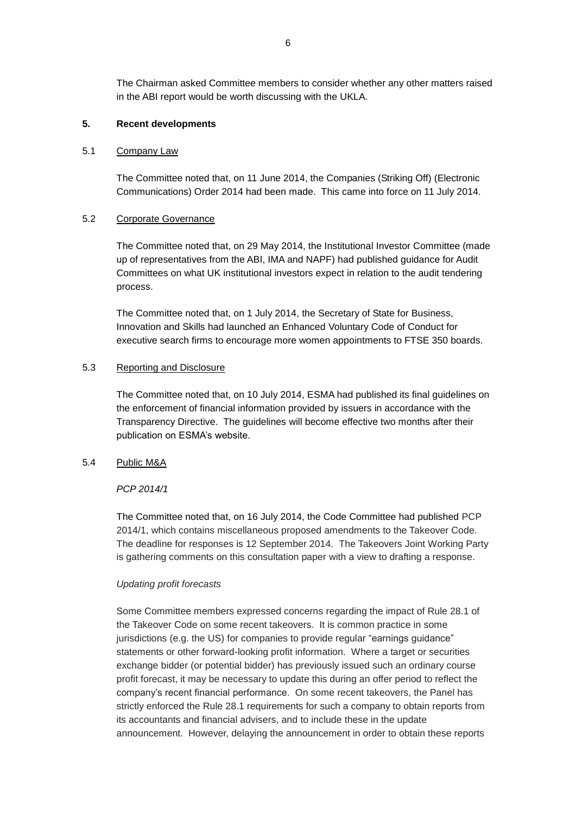The Chairman asked Committee members to consider whether any other matters raised in the ABI report would be worth discussing with the UKLA.

## **5. Recent developments**

#### 5.1 Company Law

The Committee noted that, on 11 June 2014, the Companies (Striking Off) (Electronic Communications) Order 2014 had been made. This came into force on 11 July 2014.

#### 5.2 Corporate Governance

The Committee noted that, on 29 May 2014, the Institutional Investor Committee (made up of representatives from the ABI, IMA and NAPF) had published guidance for Audit Committees on what UK institutional investors expect in relation to the audit tendering process.

The Committee noted that, on 1 July 2014, the Secretary of State for Business, Innovation and Skills had launched an Enhanced Voluntary Code of Conduct for executive search firms to encourage more women appointments to FTSE 350 boards.

## 5.3 Reporting and Disclosure

The Committee noted that, on 10 July 2014, ESMA had published its final guidelines on the enforcement of financial information provided by issuers in accordance with the Transparency Directive. The guidelines will become effective two months after their publication on ESMA's website.

### 5.4 Public M&A

#### *PCP 2014/1*

The Committee noted that, on 16 July 2014, the Code Committee had published PCP 2014/1, which contains miscellaneous proposed amendments to the Takeover Code. The deadline for responses is 12 September 2014. The Takeovers Joint Working Party is gathering comments on this consultation paper with a view to drafting a response.

#### *Updating profit forecasts*

Some Committee members expressed concerns regarding the impact of Rule 28.1 of the Takeover Code on some recent takeovers. It is common practice in some jurisdictions (e.g. the US) for companies to provide regular "earnings guidance" statements or other forward-looking profit information. Where a target or securities exchange bidder (or potential bidder) has previously issued such an ordinary course profit forecast, it may be necessary to update this during an offer period to reflect the company's recent financial performance. On some recent takeovers, the Panel has strictly enforced the Rule 28.1 requirements for such a company to obtain reports from its accountants and financial advisers, and to include these in the update announcement. However, delaying the announcement in order to obtain these reports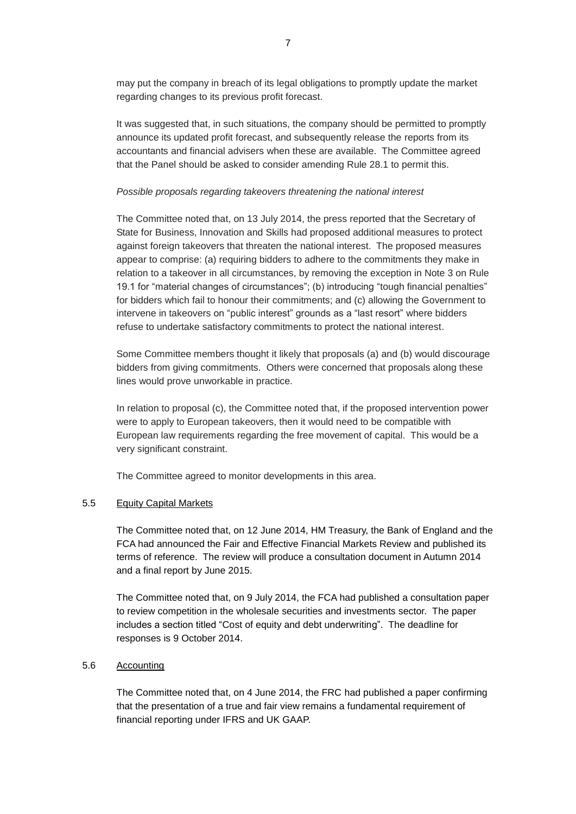may put the company in breach of its legal obligations to promptly update the market regarding changes to its previous profit forecast.

It was suggested that, in such situations, the company should be permitted to promptly announce its updated profit forecast, and subsequently release the reports from its accountants and financial advisers when these are available. The Committee agreed that the Panel should be asked to consider amending Rule 28.1 to permit this.

#### *Possible proposals regarding takeovers threatening the national interest*

The Committee noted that, on 13 July 2014, the press reported that the Secretary of State for Business, Innovation and Skills had proposed additional measures to protect against foreign takeovers that threaten the national interest. The proposed measures appear to comprise: (a) requiring bidders to adhere to the commitments they make in relation to a takeover in all circumstances, by removing the exception in Note 3 on Rule 19.1 for "material changes of circumstances"; (b) introducing "tough financial penalties" for bidders which fail to honour their commitments; and (c) allowing the Government to intervene in takeovers on "public interest" grounds as a "last resort" where bidders refuse to undertake satisfactory commitments to protect the national interest.

Some Committee members thought it likely that proposals (a) and (b) would discourage bidders from giving commitments. Others were concerned that proposals along these lines would prove unworkable in practice.

In relation to proposal (c), the Committee noted that, if the proposed intervention power were to apply to European takeovers, then it would need to be compatible with European law requirements regarding the free movement of capital. This would be a very significant constraint.

The Committee agreed to monitor developments in this area.

## 5.5 Equity Capital Markets

The Committee noted that, on 12 June 2014, HM Treasury, the Bank of England and the FCA had announced the Fair and Effective Financial Markets Review and published its terms of reference. The review will produce a consultation document in Autumn 2014 and a final report by June 2015.

The Committee noted that, on 9 July 2014, the FCA had published a consultation paper to review competition in the wholesale securities and investments sector. The paper includes a section titled "Cost of equity and debt underwriting". The deadline for responses is 9 October 2014.

### 5.6 Accounting

The Committee noted that, on 4 June 2014, the FRC had published a paper confirming that the presentation of a true and fair view remains a fundamental requirement of financial reporting under IFRS and UK GAAP.